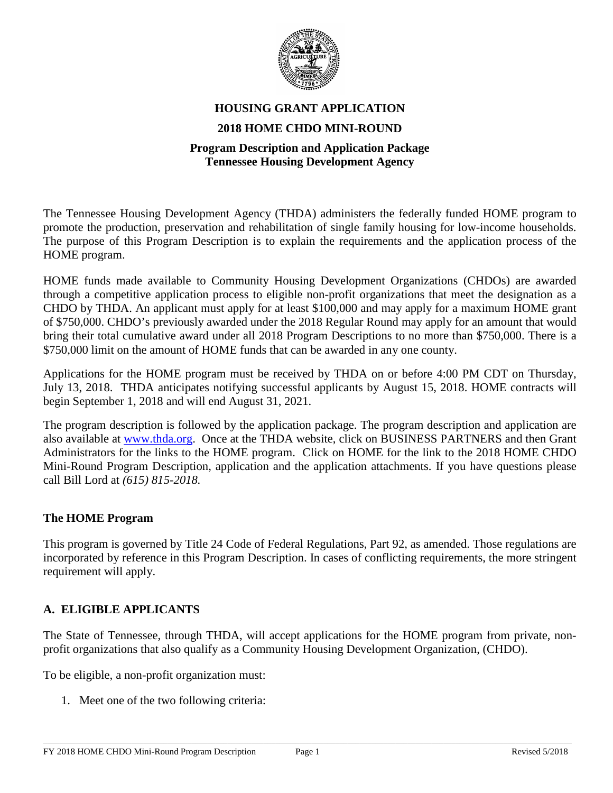

# **HOUSING GRANT APPLICATION 2018 HOME CHDO MINI-ROUND**

#### **Program Description and Application Package Tennessee Housing Development Agency**

The Tennessee Housing Development Agency (THDA) administers the federally funded HOME program to promote the production, preservation and rehabilitation of single family housing for low-income households. The purpose of this Program Description is to explain the requirements and the application process of the HOME program.

HOME funds made available to Community Housing Development Organizations (CHDOs) are awarded through a competitive application process to eligible non-profit organizations that meet the designation as a CHDO by THDA. An applicant must apply for at least \$100,000 and may apply for a maximum HOME grant of \$750,000. CHDO's previously awarded under the 2018 Regular Round may apply for an amount that would bring their total cumulative award under all 2018 Program Descriptions to no more than \$750,000. There is a \$750,000 limit on the amount of HOME funds that can be awarded in any one county.

Applications for the HOME program must be received by THDA on or before 4:00 PM CDT on Thursday, July 13, 2018. THDA anticipates notifying successful applicants by August 15, 2018. HOME contracts will begin September 1, 2018 and will end August 31, 2021.

The program description is followed by the application package. The program description and application are also available at [www.thda.org.](http://www.thda.org/) Once at the THDA website, click on BUSINESS PARTNERS and then Grant Administrators for the links to the HOME program. Click on HOME for the link to the 2018 HOME CHDO Mini-Round Program Description, application and the application attachments. If you have questions please call Bill Lord at *(615) 815-2018.*

#### **The HOME Program**

This program is governed by Title 24 Code of Federal Regulations, Part 92, as amended. Those regulations are incorporated by reference in this Program Description. In cases of conflicting requirements, the more stringent requirement will apply.

# **A. ELIGIBLE APPLICANTS**

The State of Tennessee, through THDA, will accept applications for the HOME program from private, nonprofit organizations that also qualify as a Community Housing Development Organization, (CHDO).

To be eligible, a non-profit organization must:

1. Meet one of the two following criteria: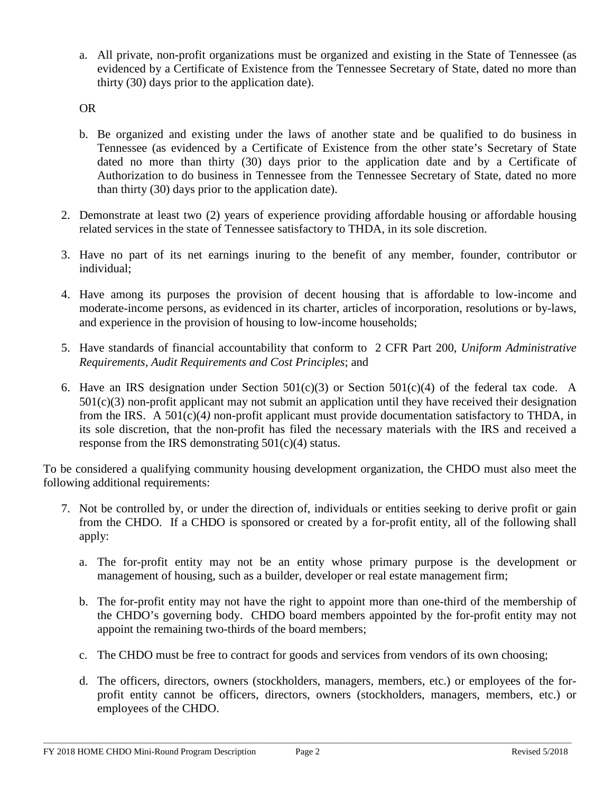a. All private, non-profit organizations must be organized and existing in the State of Tennessee (as evidenced by a Certificate of Existence from the Tennessee Secretary of State, dated no more than thirty (30) days prior to the application date).

OR

- b. Be organized and existing under the laws of another state and be qualified to do business in Tennessee (as evidenced by a Certificate of Existence from the other state's Secretary of State dated no more than thirty (30) days prior to the application date and by a Certificate of Authorization to do business in Tennessee from the Tennessee Secretary of State, dated no more than thirty (30) days prior to the application date).
- 2. Demonstrate at least two (2) years of experience providing affordable housing or affordable housing related services in the state of Tennessee satisfactory to THDA, in its sole discretion.
- 3. Have no part of its net earnings inuring to the benefit of any member, founder, contributor or individual;
- 4. Have among its purposes the provision of decent housing that is affordable to low-income and moderate-income persons, as evidenced in its charter, articles of incorporation, resolutions or by-laws, and experience in the provision of housing to low-income households;
- 5. Have standards of financial accountability that conform to 2 CFR Part 200, *Uniform Administrative Requirements, Audit Requirements and Cost Principles*; and
- 6. Have an IRS designation under Section  $501(c)(3)$  or Section  $501(c)(4)$  of the federal tax code. A  $501(c)(3)$  non-profit applicant may not submit an application until they have received their designation from the IRS. A 501(c)(4*)* non-profit applicant must provide documentation satisfactory to THDA, in its sole discretion, that the non-profit has filed the necessary materials with the IRS and received a response from the IRS demonstrating  $501(c)(4)$  status.

To be considered a qualifying community housing development organization, the CHDO must also meet the following additional requirements:

- 7. Not be controlled by, or under the direction of, individuals or entities seeking to derive profit or gain from the CHDO. If a CHDO is sponsored or created by a for-profit entity, all of the following shall apply:
	- a. The for-profit entity may not be an entity whose primary purpose is the development or management of housing, such as a builder, developer or real estate management firm;
	- b. The for-profit entity may not have the right to appoint more than one-third of the membership of the CHDO's governing body. CHDO board members appointed by the for-profit entity may not appoint the remaining two-thirds of the board members;
	- c. The CHDO must be free to contract for goods and services from vendors of its own choosing;
	- d. The officers, directors, owners (stockholders, managers, members, etc.) or employees of the forprofit entity cannot be officers, directors, owners (stockholders, managers, members, etc.) or employees of the CHDO.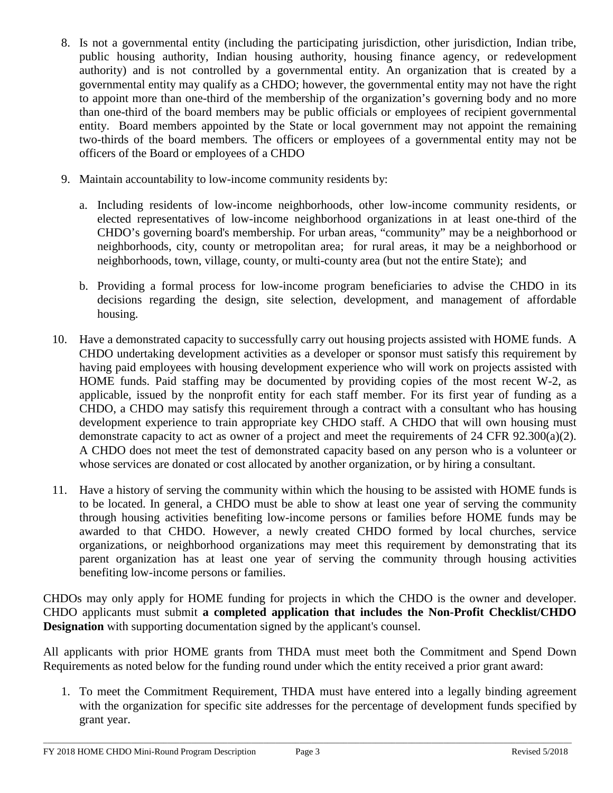- 8. Is not a governmental entity (including the participating jurisdiction, other jurisdiction, Indian tribe, public housing authority, Indian housing authority, housing finance agency, or redevelopment authority) and is not controlled by a governmental entity. An organization that is created by a governmental entity may qualify as a CHDO; however, the governmental entity may not have the right to appoint more than one-third of the membership of the organization's governing body and no more than one-third of the board members may be public officials or employees of recipient governmental entity. Board members appointed by the State or local government may not appoint the remaining two-thirds of the board members*.* The officers or employees of a governmental entity may not be officers of the Board or employees of a CHDO
- 9. Maintain accountability to low-income community residents by:
	- a. Including residents of low-income neighborhoods, other low-income community residents, or elected representatives of low-income neighborhood organizations in at least one-third of the CHDO's governing board's membership. For urban areas, "community" may be a neighborhood or neighborhoods, city, county or metropolitan area; for rural areas, it may be a neighborhood or neighborhoods, town, village, county, or multi-county area (but not the entire State); and
	- b. Providing a formal process for low-income program beneficiaries to advise the CHDO in its decisions regarding the design, site selection, development, and management of affordable housing.
- 10. Have a demonstrated capacity to successfully carry out housing projects assisted with HOME funds. A CHDO undertaking development activities as a developer or sponsor must satisfy this requirement by having paid employees with housing development experience who will work on projects assisted with HOME funds. Paid staffing may be documented by providing copies of the most recent W-2, as applicable, issued by the nonprofit entity for each staff member. For its first year of funding as a CHDO, a CHDO may satisfy this requirement through a contract with a consultant who has housing development experience to train appropriate key CHDO staff. A CHDO that will own housing must demonstrate capacity to act as owner of a project and meet the requirements of 24 CFR 92.300(a)(2). A CHDO does not meet the test of demonstrated capacity based on any person who is a volunteer or whose services are donated or cost allocated by another organization, or by hiring a consultant.
- 11. Have a history of serving the community within which the housing to be assisted with HOME funds is to be located. In general, a CHDO must be able to show at least one year of serving the community through housing activities benefiting low-income persons or families before HOME funds may be awarded to that CHDO. However, a newly created CHDO formed by local churches, service organizations, or neighborhood organizations may meet this requirement by demonstrating that its parent organization has at least one year of serving the community through housing activities benefiting low-income persons or families.

CHDOs may only apply for HOME funding for projects in which the CHDO is the owner and developer. CHDO applicants must submit **a completed application that includes the Non-Profit Checklist/CHDO Designation** with supporting documentation signed by the applicant's counsel.

All applicants with prior HOME grants from THDA must meet both the Commitment and Spend Down Requirements as noted below for the funding round under which the entity received a prior grant award:

1. To meet the Commitment Requirement, THDA must have entered into a legally binding agreement with the organization for specific site addresses for the percentage of development funds specified by grant year.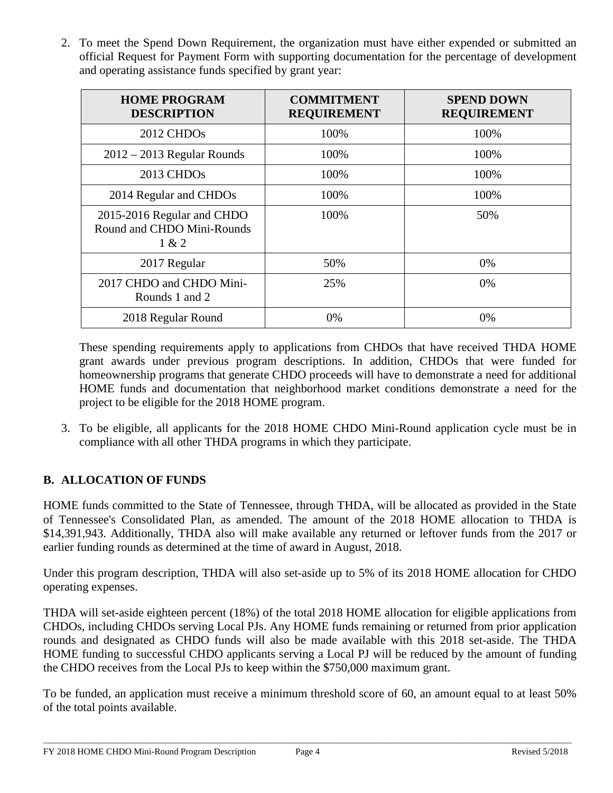2. To meet the Spend Down Requirement, the organization must have either expended or submitted an official Request for Payment Form with supporting documentation for the percentage of development and operating assistance funds specified by grant year:

| <b>HOME PROGRAM</b><br><b>DESCRIPTION</b>                         | <b>COMMITMENT</b><br><b>REQUIREMENT</b> | <b>SPEND DOWN</b><br><b>REQUIREMENT</b> |
|-------------------------------------------------------------------|-----------------------------------------|-----------------------------------------|
| 2012 CHDOs                                                        | 100%                                    | 100%                                    |
| $2012 - 2013$ Regular Rounds                                      | 100%                                    | 100%                                    |
| 2013 CHDOs                                                        | 100%                                    | 100%                                    |
| 2014 Regular and CHDOs                                            | 100%                                    | 100%                                    |
| 2015-2016 Regular and CHDO<br>Round and CHDO Mini-Rounds<br>1 & 2 | 100%                                    | 50%                                     |
| 2017 Regular                                                      | 50%                                     | 0%                                      |
| 2017 CHDO and CHDO Mini-<br>Rounds 1 and 2                        | 25%                                     | 0%                                      |
| 2018 Regular Round                                                | 0%                                      | 0%                                      |

These spending requirements apply to applications from CHDOs that have received THDA HOME grant awards under previous program descriptions. In addition, CHDOs that were funded for homeownership programs that generate CHDO proceeds will have to demonstrate a need for additional HOME funds and documentation that neighborhood market conditions demonstrate a need for the project to be eligible for the 2018 HOME program.

3. To be eligible, all applicants for the 2018 HOME CHDO Mini-Round application cycle must be in compliance with all other THDA programs in which they participate.

# **B. ALLOCATION OF FUNDS**

HOME funds committed to the State of Tennessee, through THDA, will be allocated as provided in the State of Tennessee's Consolidated Plan, as amended. The amount of the 2018 HOME allocation to THDA is \$14,391,943. Additionally, THDA also will make available any returned or leftover funds from the 2017 or earlier funding rounds as determined at the time of award in August, 2018.

Under this program description, THDA will also set-aside up to 5% of its 2018 HOME allocation for CHDO operating expenses.

THDA will set-aside eighteen percent (18%) of the total 2018 HOME allocation for eligible applications from CHDOs, including CHDOs serving Local PJs. Any HOME funds remaining or returned from prior application rounds and designated as CHDO funds will also be made available with this 2018 set-aside. The THDA HOME funding to successful CHDO applicants serving a Local PJ will be reduced by the amount of funding the CHDO receives from the Local PJs to keep within the \$750,000 maximum grant.

To be funded, an application must receive a minimum threshold score of 60, an amount equal to at least 50% of the total points available.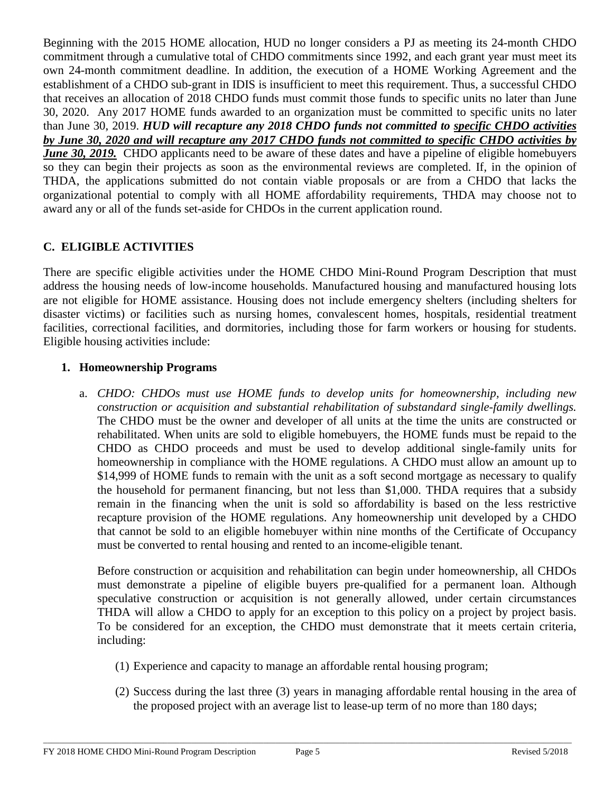Beginning with the 2015 HOME allocation, HUD no longer considers a PJ as meeting its 24-month CHDO commitment through a cumulative total of CHDO commitments since 1992, and each grant year must meet its own 24-month commitment deadline. In addition, the execution of a HOME Working Agreement and the establishment of a CHDO sub-grant in IDIS is insufficient to meet this requirement. Thus, a successful CHDO that receives an allocation of 2018 CHDO funds must commit those funds to specific units no later than June 30, 2020. Any 2017 HOME funds awarded to an organization must be committed to specific units no later than June 30, 2019. *HUD will recapture any 2018 CHDO funds not committed to specific CHDO activities by June 30, 2020 and will recapture any 2017 CHDO funds not committed to specific CHDO activities by June 30, 2019.* CHDO applicants need to be aware of these dates and have a pipeline of eligible homebuyers so they can begin their projects as soon as the environmental reviews are completed. If, in the opinion of THDA, the applications submitted do not contain viable proposals or are from a CHDO that lacks the organizational potential to comply with all HOME affordability requirements, THDA may choose not to award any or all of the funds set-aside for CHDOs in the current application round.

# **C. ELIGIBLE ACTIVITIES**

There are specific eligible activities under the HOME CHDO Mini-Round Program Description that must address the housing needs of low-income households. Manufactured housing and manufactured housing lots are not eligible for HOME assistance. Housing does not include emergency shelters (including shelters for disaster victims) or facilities such as nursing homes, convalescent homes, hospitals, residential treatment facilities, correctional facilities, and dormitories, including those for farm workers or housing for students. Eligible housing activities include:

# **1. Homeownership Programs**

a. *CHDO: CHDOs must use HOME funds to develop units for homeownership, including new construction or acquisition and substantial rehabilitation of substandard single-family dwellings.* The CHDO must be the owner and developer of all units at the time the units are constructed or rehabilitated. When units are sold to eligible homebuyers, the HOME funds must be repaid to the CHDO as CHDO proceeds and must be used to develop additional single-family units for homeownership in compliance with the HOME regulations. A CHDO must allow an amount up to \$14,999 of HOME funds to remain with the unit as a soft second mortgage as necessary to qualify the household for permanent financing, but not less than \$1,000. THDA requires that a subsidy remain in the financing when the unit is sold so affordability is based on the less restrictive recapture provision of the HOME regulations. Any homeownership unit developed by a CHDO that cannot be sold to an eligible homebuyer within nine months of the Certificate of Occupancy must be converted to rental housing and rented to an income-eligible tenant.

Before construction or acquisition and rehabilitation can begin under homeownership, all CHDOs must demonstrate a pipeline of eligible buyers pre-qualified for a permanent loan. Although speculative construction or acquisition is not generally allowed, under certain circumstances THDA will allow a CHDO to apply for an exception to this policy on a project by project basis. To be considered for an exception, the CHDO must demonstrate that it meets certain criteria, including:

- (1) Experience and capacity to manage an affordable rental housing program;
- (2) Success during the last three (3) years in managing affordable rental housing in the area of the proposed project with an average list to lease-up term of no more than 180 days;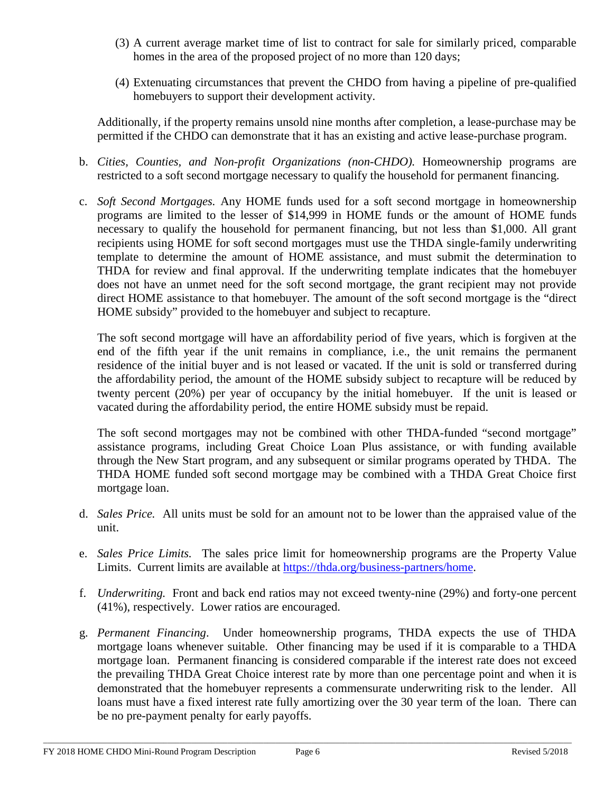- (3) A current average market time of list to contract for sale for similarly priced, comparable homes in the area of the proposed project of no more than 120 days;
- (4) Extenuating circumstances that prevent the CHDO from having a pipeline of pre-qualified homebuyers to support their development activity.

Additionally, if the property remains unsold nine months after completion, a lease-purchase may be permitted if the CHDO can demonstrate that it has an existing and active lease-purchase program.

- b. *Cities, Counties, and Non-profit Organizations (non-CHDO).* Homeownership programs are restricted to a soft second mortgage necessary to qualify the household for permanent financing.
- c. *Soft Second Mortgages.* Any HOME funds used for a soft second mortgage in homeownership programs are limited to the lesser of \$14,999 in HOME funds or the amount of HOME funds necessary to qualify the household for permanent financing, but not less than \$1,000. All grant recipients using HOME for soft second mortgages must use the THDA single-family underwriting template to determine the amount of HOME assistance, and must submit the determination to THDA for review and final approval. If the underwriting template indicates that the homebuyer does not have an unmet need for the soft second mortgage, the grant recipient may not provide direct HOME assistance to that homebuyer. The amount of the soft second mortgage is the "direct HOME subsidy" provided to the homebuyer and subject to recapture.

The soft second mortgage will have an affordability period of five years, which is forgiven at the end of the fifth year if the unit remains in compliance, i.e., the unit remains the permanent residence of the initial buyer and is not leased or vacated. If the unit is sold or transferred during the affordability period, the amount of the HOME subsidy subject to recapture will be reduced by twenty percent (20%) per year of occupancy by the initial homebuyer. If the unit is leased or vacated during the affordability period, the entire HOME subsidy must be repaid.

The soft second mortgages may not be combined with other THDA-funded "second mortgage" assistance programs, including Great Choice Loan Plus assistance, or with funding available through the New Start program, and any subsequent or similar programs operated by THDA. The THDA HOME funded soft second mortgage may be combined with a THDA Great Choice first mortgage loan.

- d. *Sales Price.* All units must be sold for an amount not to be lower than the appraised value of the unit.
- e. *Sales Price Limits.* The sales price limit for homeownership programs are the Property Value Limits. Current limits are available at [https://thda.org/business-partners/home.](https://thda.org/business-partners/home)
- f. *Underwriting.* Front and back end ratios may not exceed twenty-nine (29%) and forty-one percent (41%), respectively. Lower ratios are encouraged.
- g. *Permanent Financing*. Under homeownership programs, THDA expects the use of THDA mortgage loans whenever suitable. Other financing may be used if it is comparable to a THDA mortgage loan. Permanent financing is considered comparable if the interest rate does not exceed the prevailing THDA Great Choice interest rate by more than one percentage point and when it is demonstrated that the homebuyer represents a commensurate underwriting risk to the lender. All loans must have a fixed interest rate fully amortizing over the 30 year term of the loan. There can be no pre-payment penalty for early payoffs.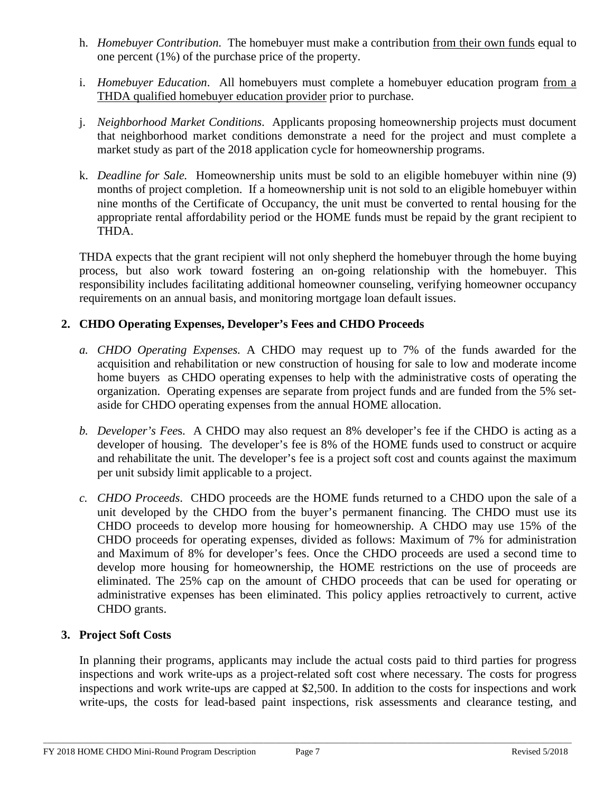- h. *Homebuyer Contribution*. The homebuyer must make a contribution from their own funds equal to one percent (1%) of the purchase price of the property.
- i. *Homebuyer Education*. All homebuyers must complete a homebuyer education program from a THDA qualified homebuyer education provider prior to purchase.
- j. *Neighborhood Market Conditions*. Applicants proposing homeownership projects must document that neighborhood market conditions demonstrate a need for the project and must complete a market study as part of the 2018 application cycle for homeownership programs.
- k. *Deadline for Sale.* Homeownership units must be sold to an eligible homebuyer within nine (9) months of project completion. If a homeownership unit is not sold to an eligible homebuyer within nine months of the Certificate of Occupancy, the unit must be converted to rental housing for the appropriate rental affordability period or the HOME funds must be repaid by the grant recipient to THDA.

THDA expects that the grant recipient will not only shepherd the homebuyer through the home buying process, but also work toward fostering an on-going relationship with the homebuyer. This responsibility includes facilitating additional homeowner counseling, verifying homeowner occupancy requirements on an annual basis, and monitoring mortgage loan default issues.

# **2. CHDO Operating Expenses, Developer's Fees and CHDO Proceeds**

- *a. CHDO Operating Expenses.* A CHDO may request up to 7% of the funds awarded for the acquisition and rehabilitation or new construction of housing for sale to low and moderate income home buyers as CHDO operating expenses to help with the administrative costs of operating the organization. Operating expenses are separate from project funds and are funded from the 5% setaside for CHDO operating expenses from the annual HOME allocation.
- *b. Developer's Fee*s. A CHDO may also request an 8% developer's fee if the CHDO is acting as a developer of housing. The developer's fee is 8% of the HOME funds used to construct or acquire and rehabilitate the unit. The developer's fee is a project soft cost and counts against the maximum per unit subsidy limit applicable to a project.
- *c. CHDO Proceeds*. CHDO proceeds are the HOME funds returned to a CHDO upon the sale of a unit developed by the CHDO from the buyer's permanent financing. The CHDO must use its CHDO proceeds to develop more housing for homeownership. A CHDO may use 15% of the CHDO proceeds for operating expenses, divided as follows: Maximum of 7% for administration and Maximum of 8% for developer's fees. Once the CHDO proceeds are used a second time to develop more housing for homeownership, the HOME restrictions on the use of proceeds are eliminated. The 25% cap on the amount of CHDO proceeds that can be used for operating or administrative expenses has been eliminated. This policy applies retroactively to current, active CHDO grants.

#### **3. Project Soft Costs**

In planning their programs, applicants may include the actual costs paid to third parties for progress inspections and work write-ups as a project-related soft cost where necessary. The costs for progress inspections and work write-ups are capped at \$2,500. In addition to the costs for inspections and work write-ups, the costs for lead-based paint inspections, risk assessments and clearance testing, and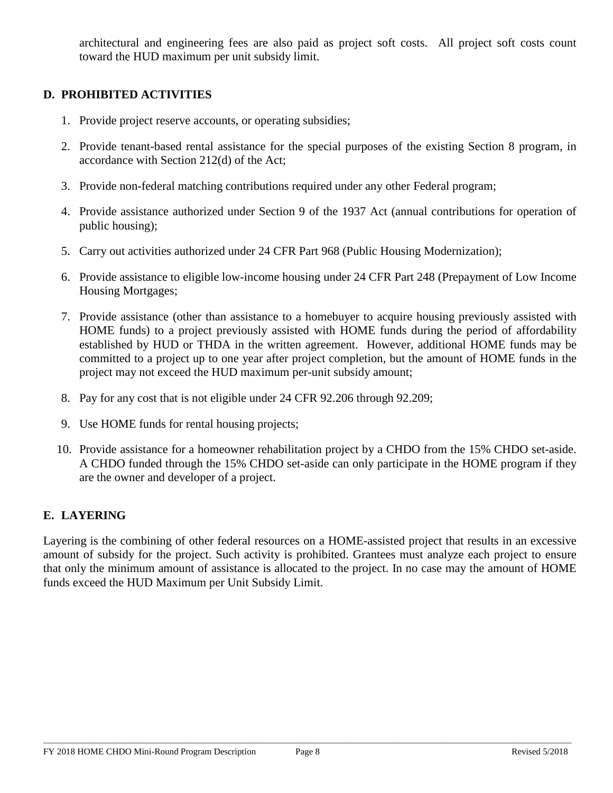architectural and engineering fees are also paid as project soft costs. All project soft costs count toward the HUD maximum per unit subsidy limit.

## **D. PROHIBITED ACTIVITIES**

- 1. Provide project reserve accounts, or operating subsidies;
- 2. Provide tenant-based rental assistance for the special purposes of the existing Section 8 program, in accordance with Section 212(d) of the Act;
- 3. Provide non-federal matching contributions required under any other Federal program;
- 4. Provide assistance authorized under Section 9 of the 1937 Act (annual contributions for operation of public housing);
- 5. Carry out activities authorized under 24 CFR Part 968 (Public Housing Modernization);
- 6. Provide assistance to eligible low-income housing under 24 CFR Part 248 (Prepayment of Low Income Housing Mortgages;
- 7. Provide assistance (other than assistance to a homebuyer to acquire housing previously assisted with HOME funds) to a project previously assisted with HOME funds during the period of affordability established by HUD or THDA in the written agreement. However, additional HOME funds may be committed to a project up to one year after project completion, but the amount of HOME funds in the project may not exceed the HUD maximum per-unit subsidy amount;
- 8. Pay for any cost that is not eligible under 24 CFR 92.206 through 92.209;
- 9. Use HOME funds for rental housing projects;
- 10. Provide assistance for a homeowner rehabilitation project by a CHDO from the 15% CHDO set-aside. A CHDO funded through the 15% CHDO set-aside can only participate in the HOME program if they are the owner and developer of a project.

#### **E. LAYERING**

Layering is the combining of other federal resources on a HOME-assisted project that results in an excessive amount of subsidy for the project. Such activity is prohibited. Grantees must analyze each project to ensure that only the minimum amount of assistance is allocated to the project. In no case may the amount of HOME funds exceed the HUD Maximum per Unit Subsidy Limit.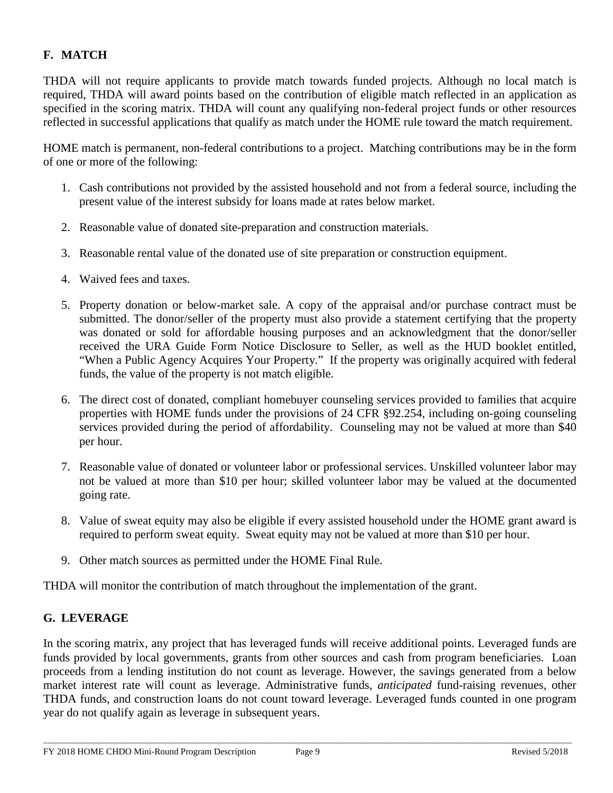# **F. MATCH**

THDA will not require applicants to provide match towards funded projects. Although no local match is required, THDA will award points based on the contribution of eligible match reflected in an application as specified in the scoring matrix. THDA will count any qualifying non-federal project funds or other resources reflected in successful applications that qualify as match under the HOME rule toward the match requirement.

HOME match is permanent, non-federal contributions to a project. Matching contributions may be in the form of one or more of the following:

- 1. Cash contributions not provided by the assisted household and not from a federal source, including the present value of the interest subsidy for loans made at rates below market.
- 2. Reasonable value of donated site-preparation and construction materials.
- 3. Reasonable rental value of the donated use of site preparation or construction equipment.
- 4. Waived fees and taxes.
- 5. Property donation or below-market sale. A copy of the appraisal and/or purchase contract must be submitted. The donor/seller of the property must also provide a statement certifying that the property was donated or sold for affordable housing purposes and an acknowledgment that the donor/seller received the URA Guide Form Notice Disclosure to Seller, as well as the HUD booklet entitled, "When a Public Agency Acquires Your Property." If the property was originally acquired with federal funds, the value of the property is not match eligible.
- 6. The direct cost of donated, compliant homebuyer counseling services provided to families that acquire properties with HOME funds under the provisions of 24 CFR §92.254, including on-going counseling services provided during the period of affordability. Counseling may not be valued at more than \$40 per hour.
- 7. Reasonable value of donated or volunteer labor or professional services. Unskilled volunteer labor may not be valued at more than \$10 per hour; skilled volunteer labor may be valued at the documented going rate.
- 8. Value of sweat equity may also be eligible if every assisted household under the HOME grant award is required to perform sweat equity. Sweat equity may not be valued at more than \$10 per hour.
- 9. Other match sources as permitted under the HOME Final Rule.

THDA will monitor the contribution of match throughout the implementation of the grant.

# **G. LEVERAGE**

In the scoring matrix, any project that has leveraged funds will receive additional points. Leveraged funds are funds provided by local governments, grants from other sources and cash from program beneficiaries. Loan proceeds from a lending institution do not count as leverage. However, the savings generated from a below market interest rate will count as leverage. Administrative funds, *anticipated* fund-raising revenues, other THDA funds, and construction loans do not count toward leverage. Leveraged funds counted in one program year do not qualify again as leverage in subsequent years.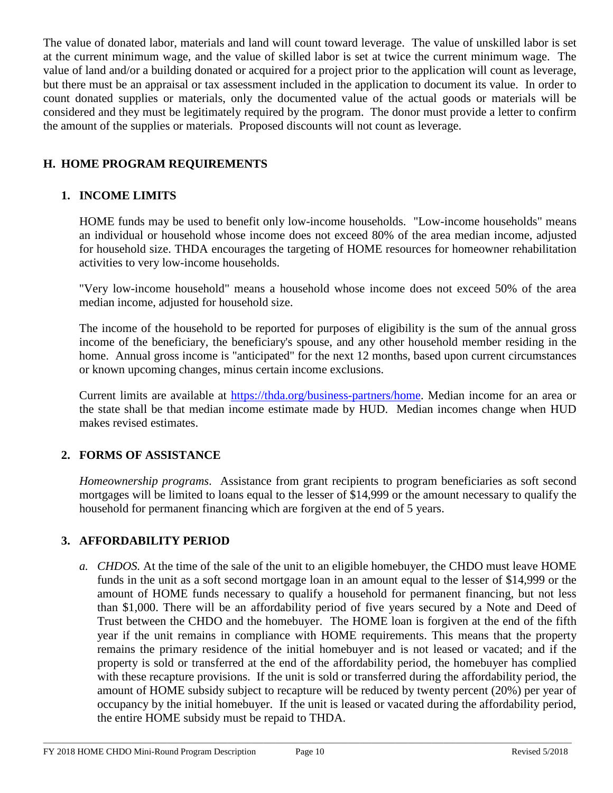The value of donated labor, materials and land will count toward leverage. The value of unskilled labor is set at the current minimum wage, and the value of skilled labor is set at twice the current minimum wage. The value of land and/or a building donated or acquired for a project prior to the application will count as leverage, but there must be an appraisal or tax assessment included in the application to document its value. In order to count donated supplies or materials, only the documented value of the actual goods or materials will be considered and they must be legitimately required by the program. The donor must provide a letter to confirm the amount of the supplies or materials. Proposed discounts will not count as leverage.

# **H. HOME PROGRAM REQUIREMENTS**

## **1. INCOME LIMITS**

HOME funds may be used to benefit only low-income households. "Low-income households" means an individual or household whose income does not exceed 80% of the area median income, adjusted for household size. THDA encourages the targeting of HOME resources for homeowner rehabilitation activities to very low-income households.

"Very low-income household" means a household whose income does not exceed 50% of the area median income, adjusted for household size.

The income of the household to be reported for purposes of eligibility is the sum of the annual gross income of the beneficiary, the beneficiary's spouse, and any other household member residing in the home. Annual gross income is "anticipated" for the next 12 months, based upon current circumstances or known upcoming changes, minus certain income exclusions.

Current limits are available at [https://thda.org/business-partners/home.](https://thda.org/business-partners/home) Median income for an area or the state shall be that median income estimate made by HUD. Median incomes change when HUD makes revised estimates.

# **2. FORMS OF ASSISTANCE**

*Homeownership programs*. Assistance from grant recipients to program beneficiaries as soft second mortgages will be limited to loans equal to the lesser of \$14,999 or the amount necessary to qualify the household for permanent financing which are forgiven at the end of 5 years.

# **3. AFFORDABILITY PERIOD**

*a. CHDOS.* At the time of the sale of the unit to an eligible homebuyer, the CHDO must leave HOME funds in the unit as a soft second mortgage loan in an amount equal to the lesser of \$14,999 or the amount of HOME funds necessary to qualify a household for permanent financing, but not less than \$1,000. There will be an affordability period of five years secured by a Note and Deed of Trust between the CHDO and the homebuyer. The HOME loan is forgiven at the end of the fifth year if the unit remains in compliance with HOME requirements. This means that the property remains the primary residence of the initial homebuyer and is not leased or vacated; and if the property is sold or transferred at the end of the affordability period, the homebuyer has complied with these recapture provisions. If the unit is sold or transferred during the affordability period, the amount of HOME subsidy subject to recapture will be reduced by twenty percent (20%) per year of occupancy by the initial homebuyer. If the unit is leased or vacated during the affordability period, the entire HOME subsidy must be repaid to THDA.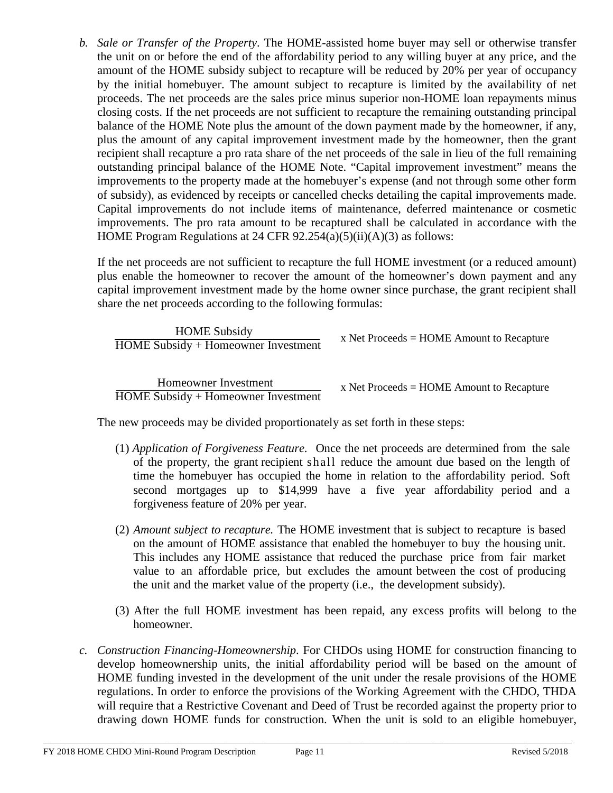*b. Sale or Transfer of the Property*. The HOME-assisted home buyer may sell or otherwise transfer the unit on or before the end of the affordability period to any willing buyer at any price, and the amount of the HOME subsidy subject to recapture will be reduced by 20% per year of occupancy by the initial homebuyer. The amount subject to recapture is limited by the availability of net proceeds. The net proceeds are the sales price minus superior non-HOME loan repayments minus closing costs. If the net proceeds are not sufficient to recapture the remaining outstanding principal balance of the HOME Note plus the amount of the down payment made by the homeowner, if any, plus the amount of any capital improvement investment made by the homeowner, then the grant recipient shall recapture a pro rata share of the net proceeds of the sale in lieu of the full remaining outstanding principal balance of the HOME Note. "Capital improvement investment" means the improvements to the property made at the homebuyer's expense (and not through some other form of subsidy), as evidenced by receipts or cancelled checks detailing the capital improvements made. Capital improvements do not include items of maintenance, deferred maintenance or cosmetic improvements. The pro rata amount to be recaptured shall be calculated in accordance with the HOME Program Regulations at 24 CFR 92.254(a)(5)(ii)(A)(3) as follows:

If the net proceeds are not sufficient to recapture the full HOME investment (or a reduced amount) plus enable the homeowner to recover the amount of the homeowner's down payment and any capital improvement investment made by the home owner since purchase, the grant recipient shall share the net proceeds according to the following formulas:

| <b>HOME</b> Subsidy<br>HOME Subsidy + Homeowner Investment | x Net Proceeds = $HOME$ Amount to Recapture |
|------------------------------------------------------------|---------------------------------------------|
| Homeowner Investment                                       | x Net Proceeds $=$ HOME Amount to Recapture |

HOME Subsidy + Homeowner Investment

x Net Proceeds = HOME Amount to Recapture

The new proceeds may be divided proportionately as set forth in these steps:

- (1) *Application of Forgiveness Feature*. Once the net proceeds are determined from the sale of the property, the grant recipient shall reduce the amount due based on the length of time the homebuyer has occupied the home in relation to the affordability period. Soft second mortgages up to \$14,999 have a five year affordability period and a forgiveness feature of 20% per year.
- (2) *Amount subject to recapture.* The HOME investment that is subject to recapture is based on the amount of HOME assistance that enabled the homebuyer to buy the housing unit. This includes any HOME assistance that reduced the purchase price from fair market value to an affordable price, but excludes the amount between the cost of producing the unit and the market value of the property (i.e., the development subsidy).
- (3) After the full HOME investment has been repaid, any excess profits will belong to the homeowner.
- *c. Construction Financing-Homeownership*. For CHDOs using HOME for construction financing to develop homeownership units, the initial affordability period will be based on the amount of HOME funding invested in the development of the unit under the resale provisions of the HOME regulations. In order to enforce the provisions of the Working Agreement with the CHDO, THDA will require that a Restrictive Covenant and Deed of Trust be recorded against the property prior to drawing down HOME funds for construction. When the unit is sold to an eligible homebuyer,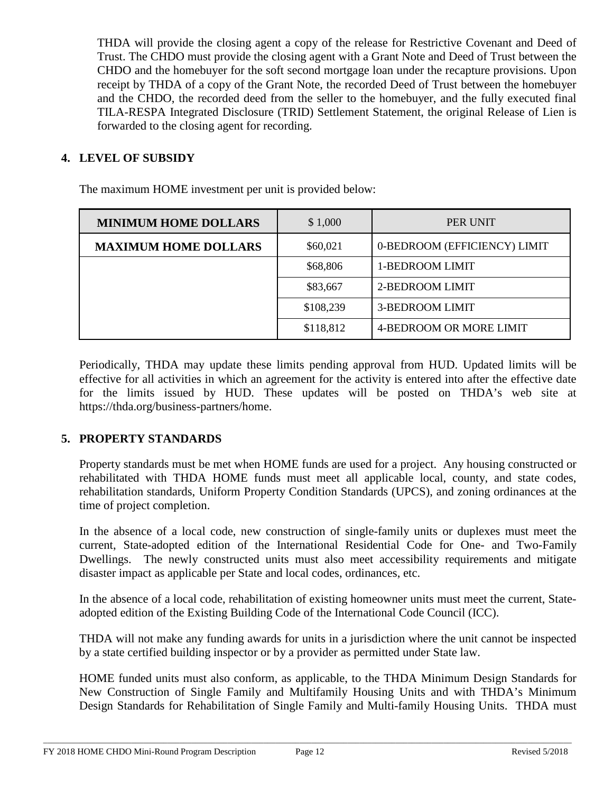THDA will provide the closing agent a copy of the release for Restrictive Covenant and Deed of Trust. The CHDO must provide the closing agent with a Grant Note and Deed of Trust between the CHDO and the homebuyer for the soft second mortgage loan under the recapture provisions. Upon receipt by THDA of a copy of the Grant Note, the recorded Deed of Trust between the homebuyer and the CHDO, the recorded deed from the seller to the homebuyer, and the fully executed final TILA-RESPA Integrated Disclosure (TRID) Settlement Statement, the original Release of Lien is forwarded to the closing agent for recording.

# **4. LEVEL OF SUBSIDY**

| <b>MINIMUM HOME DOLLARS</b> | \$1,000   | PER UNIT                     |
|-----------------------------|-----------|------------------------------|
| <b>MAXIMUM HOME DOLLARS</b> | \$60,021  | 0-BEDROOM (EFFICIENCY) LIMIT |
|                             | \$68,806  | 1-BEDROOM LIMIT              |
|                             | \$83,667  | 2-BEDROOM LIMIT              |
|                             | \$108,239 | 3-BEDROOM LIMIT              |
|                             | \$118,812 | 4-BEDROOM OR MORE LIMIT      |

The maximum HOME investment per unit is provided below:

Periodically, THDA may update these limits pending approval from HUD. Updated limits will be effective for all activities in which an agreement for the activity is entered into after the effective date for the limits issued by HUD. These updates will be posted on THDA's web site [at](http://www.thda.org/) https://thda.org/business-partners/home.

#### **5. PROPERTY STANDARDS**

Property standards must be met when HOME funds are used for a project. Any housing constructed or rehabilitated with THDA HOME funds must meet all applicable local, county, and state codes, rehabilitation standards, Uniform Property Condition Standards (UPCS), and zoning ordinances at the time of project completion.

In the absence of a local code, new construction of single-family units or duplexes must meet the current, State-adopted edition of the International Residential Code for One- and Two-Family Dwellings. The newly constructed units must also meet accessibility requirements and mitigate disaster impact as applicable per State and local codes, ordinances, etc.

In the absence of a local code, rehabilitation of existing homeowner units must meet the current, Stateadopted edition of the Existing Building Code of the International Code Council (ICC).

THDA will not make any funding awards for units in a jurisdiction where the unit cannot be inspected by a state certified building inspector or by a provider as permitted under State law.

HOME funded units must also conform, as applicable, to the THDA Minimum Design Standards for New Construction of Single Family and Multifamily Housing Units and with THDA's Minimum Design Standards for Rehabilitation of Single Family and Multi-family Housing Units. THDA must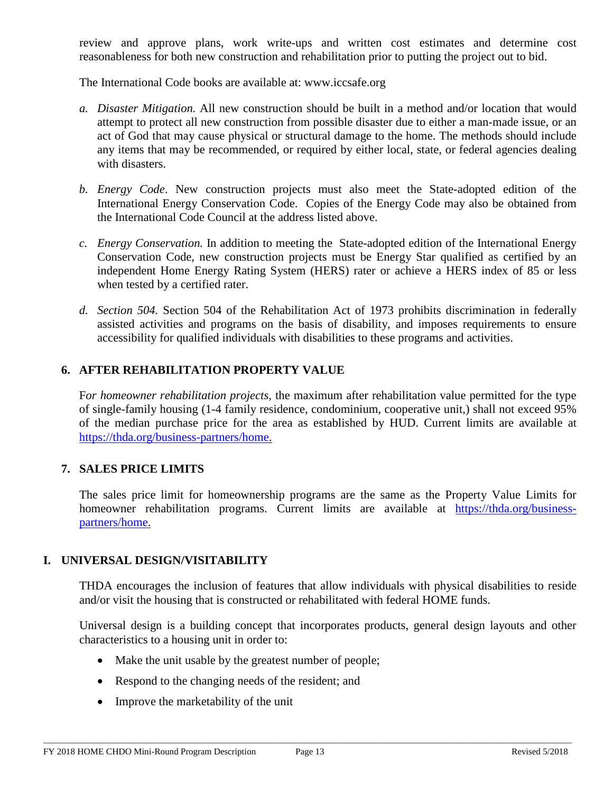review and approve plans, work write-ups and written cost estimates and determine cost reasonableness for both new construction and rehabilitation prior to putting the project out to bid.

The International Code books are available at: www.iccsafe.org

- *a. Disaster Mitigation.* All new construction should be built in a method and/or location that would attempt to protect all new construction from possible disaster due to either a man-made issue, or an act of God that may cause physical or structural damage to the home. The methods should include any items that may be recommended, or required by either local, state, or federal agencies dealing with disasters.
- *b. Energy Code*. New construction projects must also meet the State-adopted edition of the International Energy Conservation Code. Copies of the Energy Code may also be obtained from the International Code Council at the address listed above.
- *c. Energy Conservation.* In addition to meeting the State-adopted edition of the International Energy Conservation Code, new construction projects must be Energy Star qualified as certified by an independent Home Energy Rating System (HERS) rater or achieve a HERS index of 85 or less when tested by a certified rater.
- *d. Section 504.* Section 504 of the Rehabilitation Act of 1973 prohibits discrimination in federally assisted activities and programs on the basis of disability, and imposes requirements to ensure accessibility for qualified individuals with disabilities to these programs and activities.

## **6. AFTER REHABILITATION PROPERTY VALUE**

F*or homeowner rehabilitation projects*, the maximum after rehabilitation value permitted for the type of single-family housing (1-4 family residence, condominium, cooperative unit,) shall not exceed 95% of the median purchase price for the area as established by HUD. Current limits are available at [https://thda.org/business-partners/home.](https://thda.org/business-partners/home)

#### **7. SALES PRICE LIMITS**

The sales price limit for homeownership programs are the same as the Property Value Limits for homeowner rehabilitation programs. Current limits are available at [https://thda.org/business](https://thda.org/business-partners/home)[partners/home.](https://thda.org/business-partners/home)

#### **I. UNIVERSAL DESIGN/VISITABILITY**

THDA encourages the inclusion of features that allow individuals with physical disabilities to reside and/or visit the housing that is constructed or rehabilitated with federal HOME funds.

Universal design is a building concept that incorporates products, general design layouts and other characteristics to a housing unit in order to:

- Make the unit usable by the greatest number of people;
- Respond to the changing needs of the resident; and
- Improve the marketability of the unit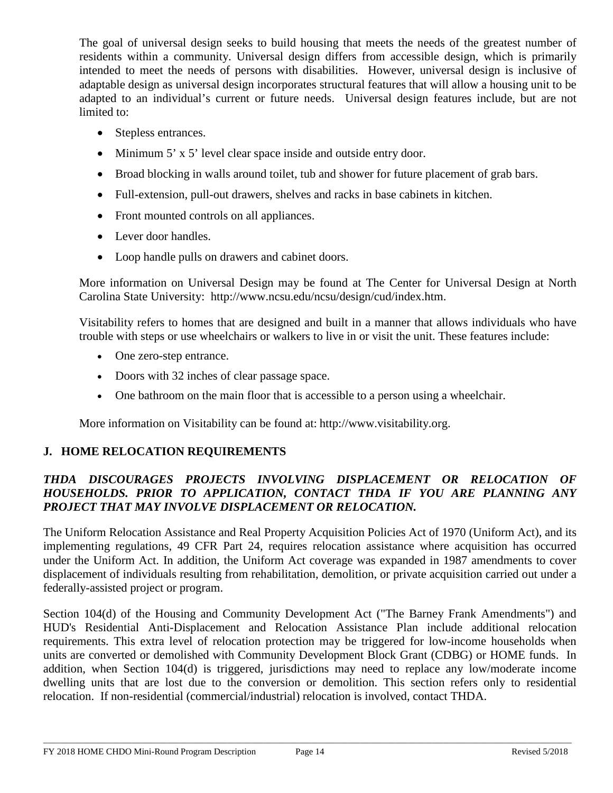The goal of universal design seeks to build housing that meets the needs of the greatest number of residents within a community. Universal design differs from accessible design, which is primarily intended to meet the needs of persons with disabilities. However, universal design is inclusive of adaptable design as universal design incorporates structural features that will allow a housing unit to be adapted to an individual's current or future needs. Universal design features include, but are not limited to:

- Stepless entrances.
- Minimum 5' x 5' level clear space inside and outside entry door.
- Broad blocking in walls around toilet, tub and shower for future placement of grab bars.
- Full-extension, pull-out drawers, shelves and racks in base cabinets in kitchen.
- Front mounted controls on all appliances.
- Lever door handles.
- Loop handle pulls on drawers and cabinet doors.

More information on Universal Design may be found at The Center for Universal Design at North Carolina State University: [http://www.ncsu.edu/ncsu/design/cud/index.htm.](http://www.ncsu.edu/ncsu/design/cud/index.htm)

Visitability refers to homes that are designed and built in a manner that allows individuals who have trouble with steps or use wheelchairs or walkers to live in or visit the unit. These features include:

- One zero-step entrance.
- Doors with 32 inches of clear passage space.
- One bathroom on the main floor that is accessible to a person using a wheelchair.

More information on Visitability can be found at: [http://www.visitability.org.](http://www.visitability.org/)

#### **J. HOME RELOCATION REQUIREMENTS**

### *THDA DISCOURAGES PROJECTS INVOLVING DISPLACEMENT OR RELOCATION OF HOUSEHOLDS. PRIOR TO APPLICATION, CONTACT THDA IF YOU ARE PLANNING ANY PROJECT THAT MAY INVOLVE DISPLACEMENT OR RELOCATION.*

The Uniform Relocation Assistance and Real Property Acquisition Policies Act of 1970 (Uniform Act), and its implementing regulations, 49 CFR Part 24, requires relocation assistance where acquisition has occurred under the Uniform Act. In addition, the Uniform Act coverage was expanded in 1987 amendments to cover displacement of individuals resulting from rehabilitation, demolition, or private acquisition carried out under a federally-assisted project or program.

Section 104(d) of the Housing and Community Development Act ("The Barney Frank Amendments") and HUD's Residential Anti-Displacement and Relocation Assistance Plan include additional relocation requirements. This extra level of relocation protection may be triggered for low-income households when units are converted or demolished with Community Development Block Grant (CDBG) or HOME funds. In addition, when Section 104(d) is triggered, jurisdictions may need to replace any low/moderate income dwelling units that are lost due to the conversion or demolition. This section refers only to residential relocation. If non-residential (commercial/industrial) relocation is involved, contact THDA.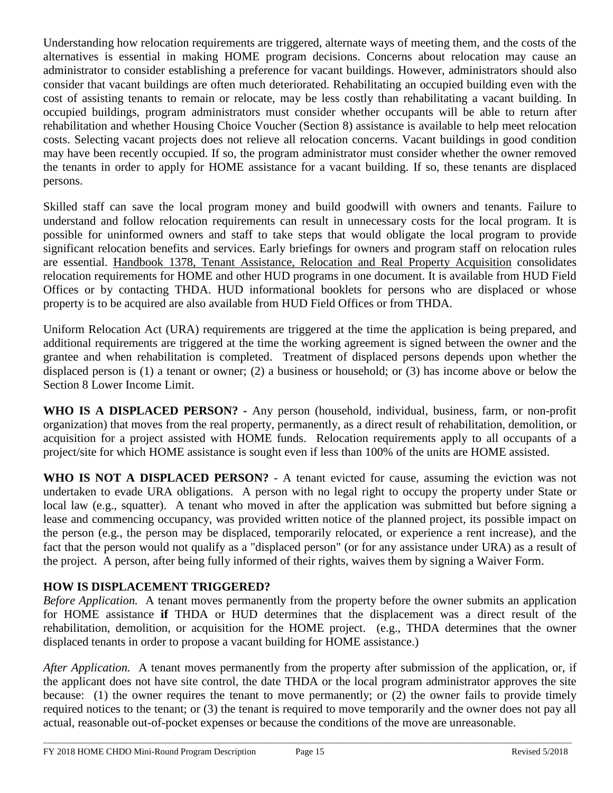Understanding how relocation requirements are triggered, alternate ways of meeting them, and the costs of the alternatives is essential in making HOME program decisions. Concerns about relocation may cause an administrator to consider establishing a preference for vacant buildings. However, administrators should also consider that vacant buildings are often much deteriorated. Rehabilitating an occupied building even with the cost of assisting tenants to remain or relocate, may be less costly than rehabilitating a vacant building. In occupied buildings, program administrators must consider whether occupants will be able to return after rehabilitation and whether Housing Choice Voucher (Section 8) assistance is available to help meet relocation costs. Selecting vacant projects does not relieve all relocation concerns. Vacant buildings in good condition may have been recently occupied. If so, the program administrator must consider whether the owner removed the tenants in order to apply for HOME assistance for a vacant building. If so, these tenants are displaced persons.

Skilled staff can save the local program money and build goodwill with owners and tenants. Failure to understand and follow relocation requirements can result in unnecessary costs for the local program. It is possible for uninformed owners and staff to take steps that would obligate the local program to provide significant relocation benefits and services. Early briefings for owners and program staff on relocation rules are essential. Handbook 1378, Tenant Assistance, Relocation and Real Property Acquisition consolidates relocation requirements for HOME and other HUD programs in one document. It is available from HUD Field Offices or by contacting THDA. HUD informational booklets for persons who are displaced or whose property is to be acquired are also available from HUD Field Offices or from THDA.

Uniform Relocation Act (URA) requirements are triggered at the time the application is being prepared, and additional requirements are triggered at the time the working agreement is signed between the owner and the grantee and when rehabilitation is completed. Treatment of displaced persons depends upon whether the displaced person is (1) a tenant or owner; (2) a business or household; or (3) has income above or below the Section 8 Lower Income Limit.

**WHO IS A DISPLACED PERSON? -** Any person (household, individual, business, farm, or non-profit organization) that moves from the real property, permanently, as a direct result of rehabilitation, demolition, or acquisition for a project assisted with HOME funds. Relocation requirements apply to all occupants of a project/site for which HOME assistance is sought even if less than 100% of the units are HOME assisted.

**WHO IS NOT A DISPLACED PERSON?** - A tenant evicted for cause, assuming the eviction was not undertaken to evade URA obligations. A person with no legal right to occupy the property under State or local law (e.g., squatter). A tenant who moved in after the application was submitted but before signing a lease and commencing occupancy, was provided written notice of the planned project, its possible impact on the person (e.g., the person may be displaced, temporarily relocated, or experience a rent increase), and the fact that the person would not qualify as a "displaced person" (or for any assistance under URA) as a result of the project. A person, after being fully informed of their rights, waives them by signing a Waiver Form.

# **HOW IS DISPLACEMENT TRIGGERED?**

*Before Application.* A tenant moves permanently from the property before the owner submits an application for HOME assistance **if** THDA or HUD determines that the displacement was a direct result of the rehabilitation, demolition, or acquisition for the HOME project. (e.g., THDA determines that the owner displaced tenants in order to propose a vacant building for HOME assistance.)

*After Application.* A tenant moves permanently from the property after submission of the application, or, if the applicant does not have site control, the date THDA or the local program administrator approves the site because: (1) the owner requires the tenant to move permanently; or (2) the owner fails to provide timely required notices to the tenant; or (3) the tenant is required to move temporarily and the owner does not pay all actual, reasonable out-of-pocket expenses or because the conditions of the move are unreasonable.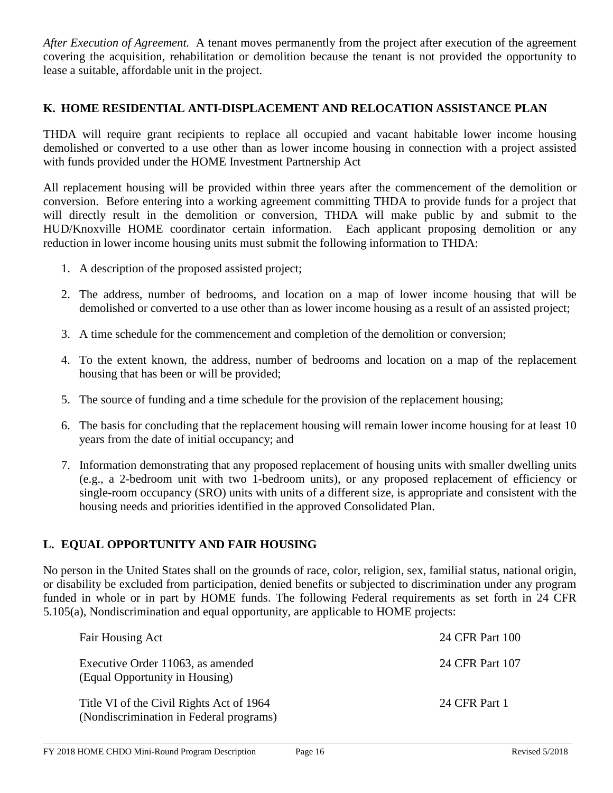*After Execution of Agreement.* A tenant moves permanently from the project after execution of the agreement covering the acquisition, rehabilitation or demolition because the tenant is not provided the opportunity to lease a suitable, affordable unit in the project.

#### **K. HOME RESIDENTIAL ANTI-DISPLACEMENT AND RELOCATION ASSISTANCE PLAN**

THDA will require grant recipients to replace all occupied and vacant habitable lower income housing demolished or converted to a use other than as lower income housing in connection with a project assisted with funds provided under the HOME Investment Partnership Act

All replacement housing will be provided within three years after the commencement of the demolition or conversion. Before entering into a working agreement committing THDA to provide funds for a project that will directly result in the demolition or conversion, THDA will make public by and submit to the HUD/Knoxville HOME coordinator certain information. Each applicant proposing demolition or any reduction in lower income housing units must submit the following information to THDA:

- 1. A description of the proposed assisted project;
- 2. The address, number of bedrooms, and location on a map of lower income housing that will be demolished or converted to a use other than as lower income housing as a result of an assisted project;
- 3. A time schedule for the commencement and completion of the demolition or conversion;
- 4. To the extent known, the address, number of bedrooms and location on a map of the replacement housing that has been or will be provided;
- 5. The source of funding and a time schedule for the provision of the replacement housing;
- 6. The basis for concluding that the replacement housing will remain lower income housing for at least 10 years from the date of initial occupancy; and
- 7. Information demonstrating that any proposed replacement of housing units with smaller dwelling units (e.g., a 2-bedroom unit with two 1-bedroom units), or any proposed replacement of efficiency or single-room occupancy (SRO) units with units of a different size, is appropriate and consistent with the housing needs and priorities identified in the approved Consolidated Plan.

# **L. EQUAL OPPORTUNITY AND FAIR HOUSING**

No person in the United States shall on the grounds of race, color, religion, sex, familial status, national origin, or disability be excluded from participation, denied benefits or subjected to discrimination under any program funded in whole or in part by HOME funds. The following Federal requirements as set forth in 24 CFR 5.105(a), Nondiscrimination and equal opportunity, are applicable to HOME projects:

| Fair Housing Act                                                                    | 24 CFR Part 100 |
|-------------------------------------------------------------------------------------|-----------------|
| Executive Order 11063, as amended<br>(Equal Opportunity in Housing)                 | 24 CFR Part 107 |
| Title VI of the Civil Rights Act of 1964<br>(Nondiscrimination in Federal programs) | 24 CFR Part 1   |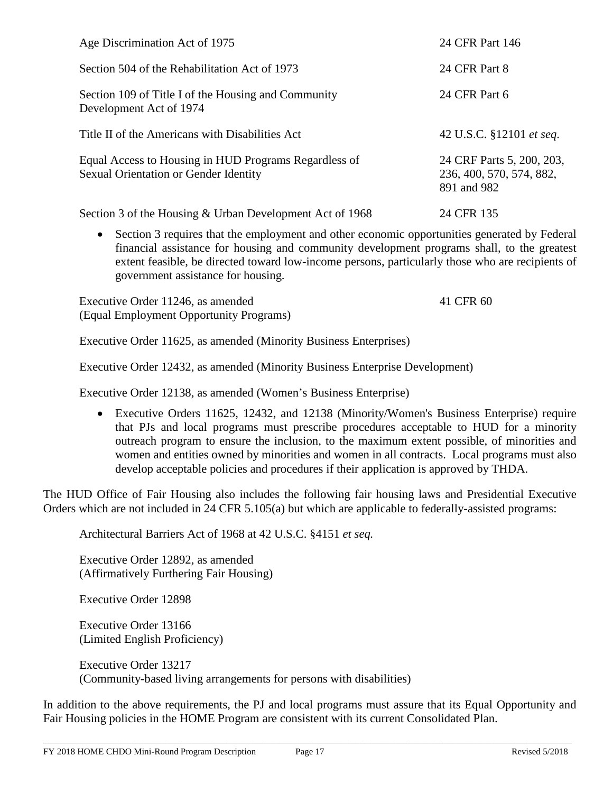| Age Discrimination Act of 1975                                                                 | 24 CFR Part 146                                                      |
|------------------------------------------------------------------------------------------------|----------------------------------------------------------------------|
| Section 504 of the Rehabilitation Act of 1973                                                  | 24 CFR Part 8                                                        |
| Section 109 of Title I of the Housing and Community<br>Development Act of 1974                 | 24 CFR Part 6                                                        |
| Title II of the Americans with Disabilities Act                                                | 42 U.S.C. §12101 et seq.                                             |
| Equal Access to Housing in HUD Programs Regardless of<br>Sexual Orientation or Gender Identity | 24 CRF Parts 5, 200, 203,<br>236, 400, 570, 574, 882,<br>891 and 982 |
| Section 3 of the Housing & Urban Development Act of 1968                                       | 24 CFR 135                                                           |

• Section 3 requires that the employment and other economic opportunities generated by Federal financial assistance for housing and community development programs shall, to the greatest extent feasible, be directed toward low-income persons, particularly those who are recipients of government assistance for housing.

Executive Order 11246, as amended 41 CFR 60 (Equal Employment Opportunity Programs)

Executive Order 11625, as amended (Minority Business Enterprises)

Executive Order 12432, as amended (Minority Business Enterprise Development)

Executive Order 12138, as amended (Women's Business Enterprise)

• Executive Orders 11625, 12432, and 12138 (Minority/Women's Business Enterprise) require that PJs and local programs must prescribe procedures acceptable to HUD for a minority outreach program to ensure the inclusion, to the maximum extent possible, of minorities and women and entities owned by minorities and women in all contracts. Local programs must also develop acceptable policies and procedures if their application is approved by THDA.

The HUD Office of Fair Housing also includes the following fair housing laws and Presidential Executive Orders which are not included in 24 CFR 5.105(a) but which are applicable to federally-assisted programs:

Architectural Barriers Act of 1968 at 42 U.S.C. §4151 *et seq.*

Executive Order 12892, as amended (Affirmatively Furthering Fair Housing)

Executive Order 12898

Executive Order 13166 (Limited English Proficiency)

Executive Order 13217 (Community-based living arrangements for persons with disabilities)

In addition to the above requirements, the PJ and local programs must assure that its Equal Opportunity and Fair Housing policies in the HOME Program are consistent with its current Consolidated Plan.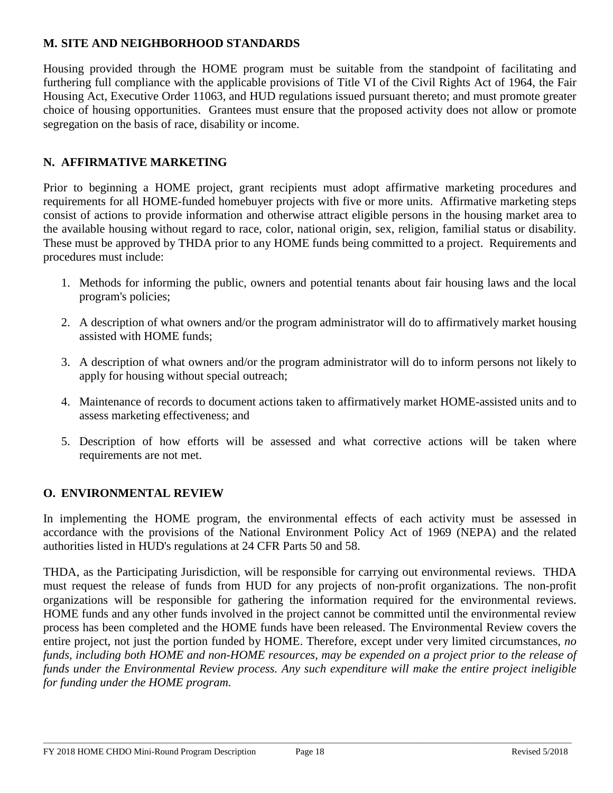# **M. SITE AND NEIGHBORHOOD STANDARDS**

Housing provided through the HOME program must be suitable from the standpoint of facilitating and furthering full compliance with the applicable provisions of Title VI of the Civil Rights Act of 1964, the Fair Housing Act, Executive Order 11063, and HUD regulations issued pursuant thereto; and must promote greater choice of housing opportunities. Grantees must ensure that the proposed activity does not allow or promote segregation on the basis of race, disability or income.

## **N. AFFIRMATIVE MARKETING**

Prior to beginning a HOME project, grant recipients must adopt affirmative marketing procedures and requirements for all HOME-funded homebuyer projects with five or more units. Affirmative marketing steps consist of actions to provide information and otherwise attract eligible persons in the housing market area to the available housing without regard to race, color, national origin, sex, religion, familial status or disability. These must be approved by THDA prior to any HOME funds being committed to a project. Requirements and procedures must include:

- 1. Methods for informing the public, owners and potential tenants about fair housing laws and the local program's policies;
- 2. A description of what owners and/or the program administrator will do to affirmatively market housing assisted with HOME funds;
- 3. A description of what owners and/or the program administrator will do to inform persons not likely to apply for housing without special outreach;
- 4. Maintenance of records to document actions taken to affirmatively market HOME-assisted units and to assess marketing effectiveness; and
- 5. Description of how efforts will be assessed and what corrective actions will be taken where requirements are not met.

#### **O. ENVIRONMENTAL REVIEW**

In implementing the HOME program, the environmental effects of each activity must be assessed in accordance with the provisions of the National Environment Policy Act of 1969 (NEPA) and the related authorities listed in HUD's regulations at 24 CFR Parts 50 and 58.

THDA, as the Participating Jurisdiction, will be responsible for carrying out environmental reviews. THDA must request the release of funds from HUD for any projects of non-profit organizations. The non-profit organizations will be responsible for gathering the information required for the environmental reviews. HOME funds and any other funds involved in the project cannot be committed until the environmental review process has been completed and the HOME funds have been released. The Environmental Review covers the entire project, not just the portion funded by HOME. Therefore, except under very limited circumstances, *no funds, including both HOME and non-HOME resources, may be expended on a project prior to the release of funds under the Environmental Review process. Any such expenditure will make the entire project ineligible for funding under the HOME program.*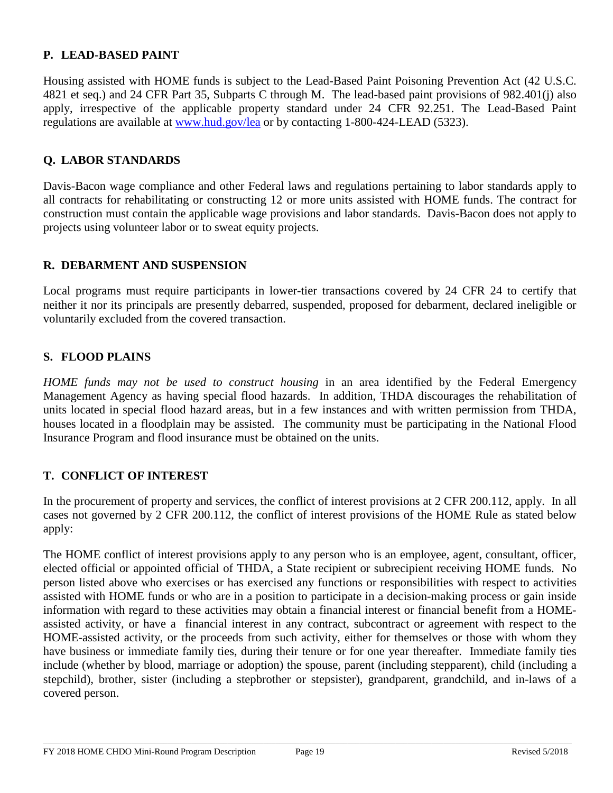#### **P. LEAD-BASED PAINT**

Housing assisted with HOME funds is subject to the Lead-Based Paint Poisoning Prevention Act (42 U.S.C. 4821 et seq.) and 24 CFR Part 35, Subparts C through M. The lead-based paint provisions of 982.401(j) also apply, irrespective of the applicable property standard under 24 CFR 92.251. The Lead-Based Paint regulations are available at [www.hud.gov/lea](http://www.hud.gov/lea) or by contacting 1-800-424-LEAD (5323).

#### **Q. LABOR STANDARDS**

Davis-Bacon wage compliance and other Federal laws and regulations pertaining to labor standards apply to all contracts for rehabilitating or constructing 12 or more units assisted with HOME funds. The contract for construction must contain the applicable wage provisions and labor standards. Davis-Bacon does not apply to projects using volunteer labor or to sweat equity projects.

#### **R. DEBARMENT AND SUSPENSION**

Local programs must require participants in lower-tier transactions covered by 24 CFR 24 to certify that neither it nor its principals are presently debarred, suspended, proposed for debarment, declared ineligible or voluntarily excluded from the covered transaction.

#### **S. FLOOD PLAINS**

*HOME funds may not be used to construct housing* in an area identified by the Federal Emergency Management Agency as having special flood hazards. In addition, THDA discourages the rehabilitation of units located in special flood hazard areas, but in a few instances and with written permission from THDA, houses located in a floodplain may be assisted. The community must be participating in the National Flood Insurance Program and flood insurance must be obtained on the units.

#### **T. CONFLICT OF INTEREST**

In the procurement of property and services, the conflict of interest provisions at 2 CFR 200.112, apply. In all cases not governed by 2 CFR 200.112, the conflict of interest provisions of the HOME Rule as stated below apply:

The HOME conflict of interest provisions apply to any person who is an employee, agent, consultant, officer, elected official or appointed official of THDA, a State recipient or subrecipient receiving HOME funds. No person listed above who exercises or has exercised any functions or responsibilities with respect to activities assisted with HOME funds or who are in a position to participate in a decision-making process or gain inside information with regard to these activities may obtain a financial interest or financial benefit from a HOMEassisted activity, or have a financial interest in any contract, subcontract or agreement with respect to the HOME-assisted activity, or the proceeds from such activity, either for themselves or those with whom they have business or immediate family ties, during their tenure or for one year thereafter. Immediate family ties include (whether by blood, marriage or adoption) the spouse, parent (including stepparent), child (including a stepchild), brother, sister (including a stepbrother or stepsister), grandparent, grandchild, and in-laws of a covered person.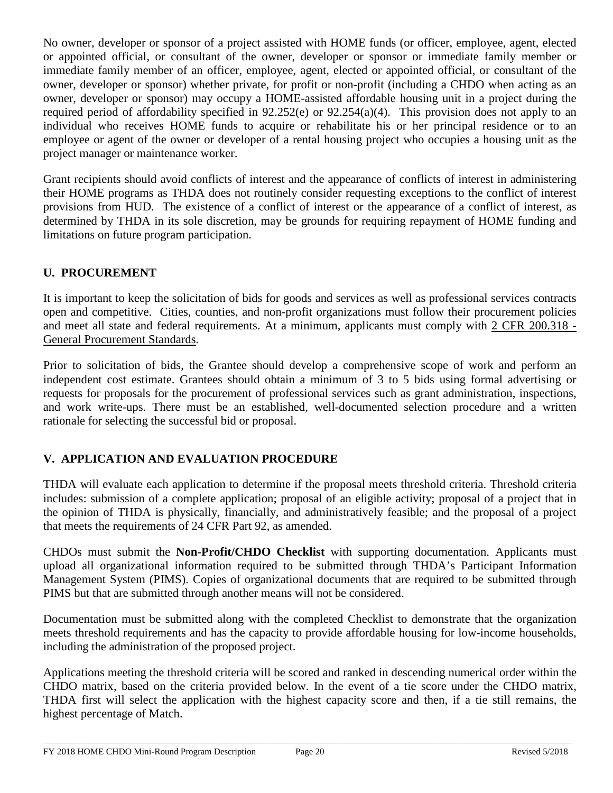No owner, developer or sponsor of a project assisted with HOME funds (or officer, employee, agent, elected or appointed official, or consultant of the owner, developer or sponsor or immediate family member or immediate family member of an officer, employee, agent, elected or appointed official, or consultant of the owner, developer or sponsor) whether private, for profit or non-profit (including a CHDO when acting as an owner, developer or sponsor) may occupy a HOME-assisted affordable housing unit in a project during the required period of affordability specified in 92.252(e) or 92.254(a)(4). This provision does not apply to an individual who receives HOME funds to acquire or rehabilitate his or her principal residence or to an employee or agent of the owner or developer of a rental housing project who occupies a housing unit as the project manager or maintenance worker.

Grant recipients should avoid conflicts of interest and the appearance of conflicts of interest in administering their HOME programs as THDA does not routinely consider requesting exceptions to the conflict of interest provisions from HUD. The existence of a conflict of interest or the appearance of a conflict of interest, as determined by THDA in its sole discretion, may be grounds for requiring repayment of HOME funding and limitations on future program participation.

# **U. PROCUREMENT**

It is important to keep the solicitation of bids for goods and services as well as professional services contracts open and competitive. Cities, counties, and non-profit organizations must follow their procurement policies and meet all state and federal requirements. At a minimum, applicants must comply with 2 CFR 200.318 - General Procurement Standards.

Prior to solicitation of bids, the Grantee should develop a comprehensive scope of work and perform an independent cost estimate. Grantees should obtain a minimum of 3 to 5 bids using formal advertising or requests for proposals for the procurement of professional services such as grant administration, inspections, and work write-ups. There must be an established, well-documented selection procedure and a written rationale for selecting the successful bid or proposal.

# **V. APPLICATION AND EVALUATION PROCEDURE**

THDA will evaluate each application to determine if the proposal meets threshold criteria. Threshold criteria includes: submission of a complete application; proposal of an eligible activity; proposal of a project that in the opinion of THDA is physically, financially, and administratively feasible; and the proposal of a project that meets the requirements of 24 CFR Part 92, as amended.

CHDOs must submit the **Non-Profit/CHDO Checklist** with supporting documentation. Applicants must upload all organizational information required to be submitted through THDA's Participant Information Management System (PIMS). Copies of organizational documents that are required to be submitted through PIMS but that are submitted through another means will not be considered.

Documentation must be submitted along with the completed Checklist to demonstrate that the organization meets threshold requirements and has the capacity to provide affordable housing for low-income households, including the administration of the proposed project.

Applications meeting the threshold criteria will be scored and ranked in descending numerical order within the CHDO matrix, based on the criteria provided below. In the event of a tie score under the CHDO matrix, THDA first will select the application with the highest capacity score and then, if a tie still remains, the highest percentage of Match.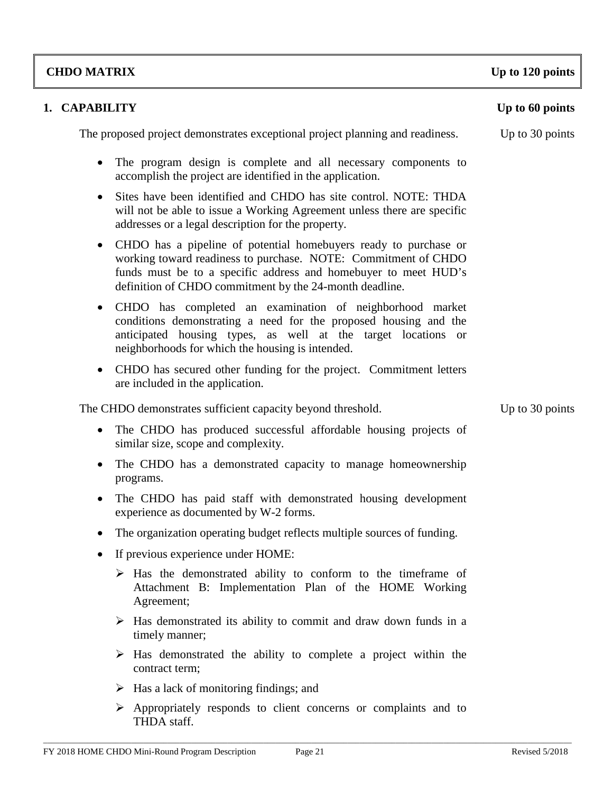# **CHDO MATRIX Up to 120 points**

# **1. CAPABILITY Up to 60 points**

The proposed project demonstrates exceptional project planning and readiness. Up to 30 points

- The program design is complete and all necessary components to accomplish the project are identified in the application.
- Sites have been identified and CHDO has site control. NOTE: THDA will not be able to issue a Working Agreement unless there are specific addresses or a legal description for the property.
- CHDO has a pipeline of potential homebuyers ready to purchase or working toward readiness to purchase. NOTE: Commitment of CHDO funds must be to a specific address and homebuyer to meet HUD's definition of CHDO commitment by the 24-month deadline.
- CHDO has completed an examination of neighborhood market conditions demonstrating a need for the proposed housing and the anticipated housing types, as well at the target locations or neighborhoods for which the housing is intended.
- CHDO has secured other funding for the project. Commitment letters are included in the application.

The CHDO demonstrates sufficient capacity beyond threshold. Up to 30 points

- The CHDO has produced successful affordable housing projects of similar size, scope and complexity.
- The CHDO has a demonstrated capacity to manage homeownership programs.
- The CHDO has paid staff with demonstrated housing development experience as documented by W-2 forms.
- The organization operating budget reflects multiple sources of funding.
- If previous experience under HOME:
	- $\triangleright$  Has the demonstrated ability to conform to the timeframe of Attachment B: Implementation Plan of the HOME Working Agreement;
	- $\triangleright$  Has demonstrated its ability to commit and draw down funds in a timely manner;
	- $\triangleright$  Has demonstrated the ability to complete a project within the contract term;
	- $\triangleright$  Has a lack of monitoring findings; and
	- $\triangleright$  Appropriately responds to client concerns or complaints and to THDA staff.

\_\_\_\_\_\_\_\_\_\_\_\_\_\_\_\_\_\_\_\_\_\_\_\_\_\_\_\_\_\_\_\_\_\_\_\_\_\_\_\_\_\_\_\_\_\_\_\_\_\_\_\_\_\_\_\_\_\_\_\_\_\_\_\_\_\_\_\_\_\_\_\_\_\_\_\_\_\_\_\_\_\_\_\_\_\_\_\_\_\_\_\_\_\_\_\_\_\_\_\_\_\_\_\_\_\_\_\_\_\_\_\_\_\_\_\_\_\_\_\_\_\_\_\_\_\_\_\_\_\_\_\_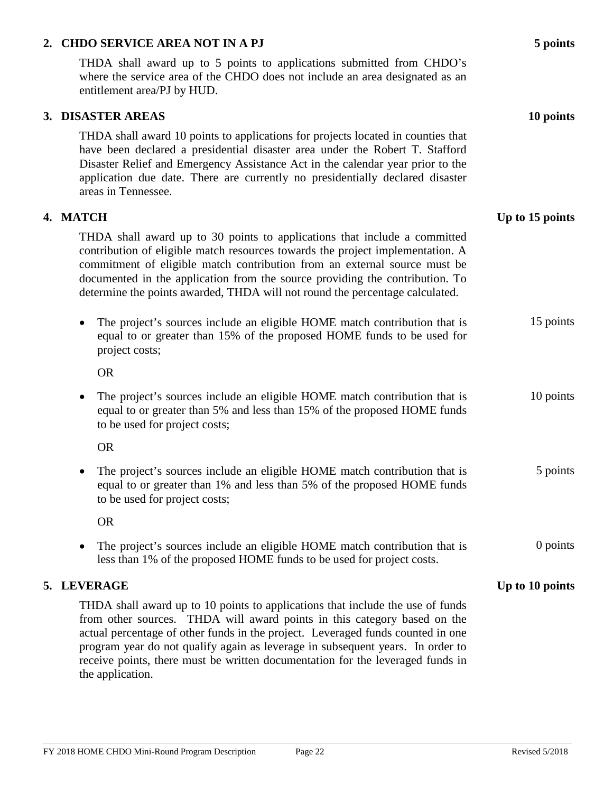#### **2. CHDO SERVICE AREA NOT IN A PJ 5 points**

THDA shall award up to 5 points to applications submitted from CHDO's where the service area of the CHDO does not include an area designated as an entitlement area/PJ by HUD.

#### **3. DISASTER AREAS 10 points**

THDA shall award 10 points to applications for projects located in counties that have been declared a presidential disaster area under the Robert T. Stafford Disaster Relief and Emergency Assistance Act in the calendar year prior to the application due date. There are currently no presidentially declared disaster areas in Tennessee.

#### **4. MATCH Up to 15 points**

THDA shall award up to 30 points to applications that include a committed contribution of eligible match resources towards the project implementation. A commitment of eligible match contribution from an external source must be documented in the application from the source providing the contribution. To determine the points awarded, THDA will not round the percentage calculated.

• The project's sources include an eligible HOME match contribution that is equal to or greater than 15% of the proposed HOME funds to be used for project costs; 15 points

OR

• The project's sources include an eligible HOME match contribution that is equal to or greater than 5% and less than 15% of the proposed HOME funds to be used for project costs; 10 points

OR

• The project's sources include an eligible HOME match contribution that is equal to or greater than 1% and less than 5% of the proposed HOME funds to be used for project costs; 5 points

OR

• The project's sources include an eligible HOME match contribution that is less than 1% of the proposed HOME funds to be used for project costs.

#### **5. LEVERAGE** Up to 10 points

THDA shall award up to 10 points to applications that include the use of funds from other sources. THDA will award points in this category based on the actual percentage of other funds in the project. Leveraged funds counted in one program year do not qualify again as leverage in subsequent years. In order to receive points, there must be written documentation for the leveraged funds in the application.

0 points